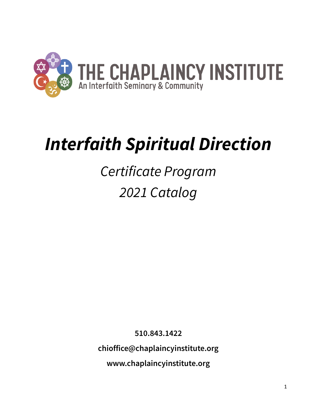

# *Interfaith Spiritual Direction*

# *Certificate Program 2021 Catalog*

**510.843.1422**

**chioffice@chaplaincyinstitute.org**

**[www.chaplaincyinstitute.org](http://www.chaplaincyinstitute.org/)**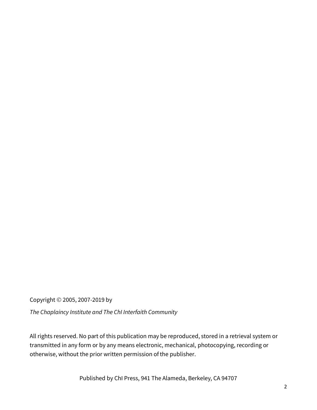Copyright © 2005, 2007-2019 by

*The Chaplaincy Institute and The ChI Interfaith Community*

All rights reserved. No part of this publication may be reproduced, stored in a retrieval system or transmitted in any form or by any means electronic, mechanical, photocopying, recording or otherwise, without the prior written permission of the publisher.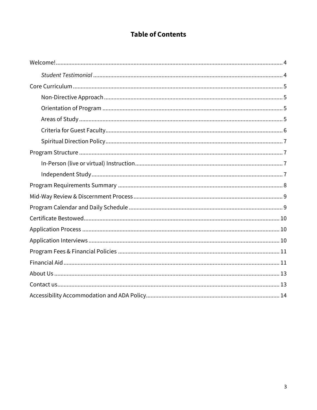### **Table of Contents**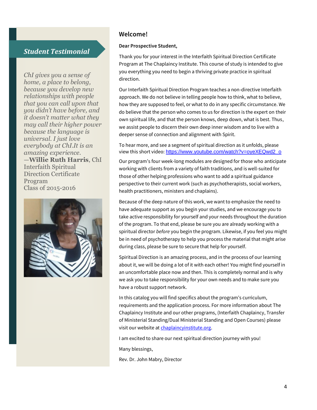### *Student Testimonial*

*ChI gives you a sense of home, a place to belong, because you develop new relationships with people that you can call upon that you didn't have before, and it doesn't matter what they may call their higher power because the language is universal. I just love everybody at ChI.It is an amazing experience.* —**Willie Ruth Harris**, ChI Interfaith Spiritual Direction Certificate Program Class of 2015-2016



### **Welcome!**

#### **Dear Prospective Student,**

Thank you for your interest in the Interfaith Spiritual Direction Certificate Program at The Chaplaincy Institute. This course of study is intended to give you everything you need to begin a thriving private practice in spiritual direction.

Our Interfaith Spiritual Direction Program teaches a non-directive Interfaith approach. We do not believe in telling people how to think, what to believe, how they are supposed to feel, or what to do in any specific circumstance. We do believe that the person who comes to us for direction is the expert on their own spiritual life, and that the person knows, deep down, what is best. Thus, we assist people to discern their own deep inner wisdom and to live with a deeper sense of connection and alignment with Spirit.

To hear more, and see a segment of spiritual direction as it unfolds, please view this short video: [https://www.youtube.com/watch?v=oyeXEQwd2\\_o](https://www.youtube.com/watch?v=oyeXEQwd2_o)

Our program's four week-long modules are designed for those who anticipate working with clients from a variety of faith traditions, and is well-suited for those of other helping professions who want to add a spiritual guidance perspective to their current work (such as psychotherapists, social workers, health practitioners, ministers and chaplains).

Because of the deep nature of this work, we want to emphasize the need to have adequate support as you begin your studies, and we encourage you to take active responsibility for yourself and your needs throughout the duration of the program. To that end, please be sure you are already working with a spiritual director *before* you begin the program. Likewise, if you feel you might be in need of psychotherapy to help you process the material that might arise during class, please be sure to secure that help for yourself.

Spiritual Direction is an amazing process, and in the process of our learning about it, we will be doing a lot of it with each other! You might find yourself in an uncomfortable place now and then. This is completely normal and is why we ask you to take responsibility for your own needs and to make sure you have a robust support network.

In this catalog you will find specifics about the program's curriculum, requirements and the application process. For more information about The Chaplaincy Institute and our other programs, (Interfaith Chaplaincy, Transfer of Ministerial Standing/Dual Ministerial Standing and Open Courses) please visit our website a[t chaplaincyinstitute.org.](https://chaplaincyinstitute.org/)

I am excited to share our next spiritual direction journey with you!

Many blessings,

Rev. Dr. John Mabry, Director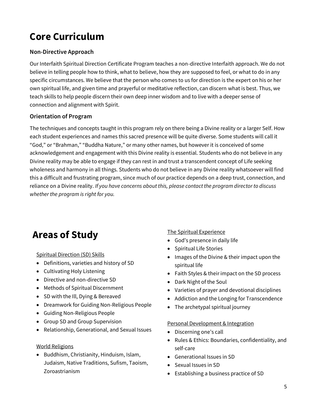# **Core Curriculum**

### **Non-Directive Approach**

Our Interfaith Spiritual Direction Certificate Program teaches a non-directive Interfaith approach. We do not believe in telling people how to think, what to believe, how they are supposed to feel, or what to do in any specific circumstances. We believe that the person who comes to us for direction is the expert on his or her own spiritual life, and given time and prayerful or meditative reflection, can discern what is best. Thus, we teach skills to help people discern their own deep inner wisdom and to live with a deeper sense of connection and alignment with Spirit.

#### **Orientation of Program**

The techniques and concepts taught in this program rely on there being a Divine reality or a larger Self. How each student experiences and names this sacred presence will be quite diverse. Some students will call it "God," or "Brahman," "Buddha Nature," or many other names, but however it is conceived of some acknowledgement and engagement with this Divine reality is essential. Students who do not believe in any Divine reality may be able to engage if they can rest in and trust a transcendent concept of Life seeking wholeness and harmony in all things. Students who do not believe in any Divine reality whatsoever will find this a difficult and frustrating program, since much of our practice depends on a deep trust, connection, and reliance on a Divine reality. *If you have concerns about this, please contact the program director to discuss whether the program is right for you.*

### **Areas of Study**

Spiritual Direction (SD) Skills

- Definitions, varieties and history of SD
- Cultivating Holy Listening
- Directive and non-directive SD
- Methods of Spiritual Discernment
- SD with the Ill, Dying & Bereaved
- Dreamwork for Guiding Non-Religious People
- Guiding Non-Religious People
- Group SD and Group Supervision
- Relationship, Generational, and Sexual Issues

#### World Religions

• Buddhism, Christianity, Hinduism, Islam, Judaism, Native Traditions, Sufism, Taoism, Zoroastrianism

#### The Spiritual Experience

- God's presence in daily life
- Spiritual Life Stories
- Images of the Divine & their impact upon the spiritual life
- Faith Styles & their impact on the SD process
- Dark Night of the Soul
- Varieties of prayer and devotional disciplines
- Addiction and the Longing for Transcendence
- The archetypal spiritual journey

#### Personal Development & Integration

- Discerning one's call
- Rules & Ethics: Boundaries, confidentiality, and self-care
- Generational Issues in SD
- Sexual Issues in SD
- Establishing a business practice of SD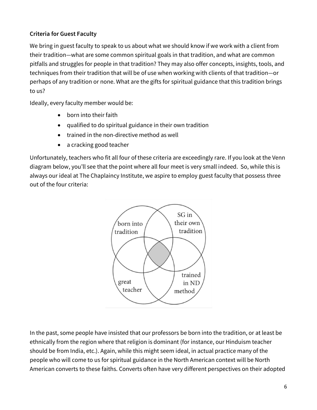### **Criteria for Guest Faculty**

We bring in guest faculty to speak to us about what we should know if we work with a client from their tradition—what are some common spiritual goals in that tradition, and what are common pitfalls and struggles for people in that tradition? They may also offer concepts, insights, tools, and techniques from their tradition that will be of use when working with clients of that tradition—or perhaps of any tradition or none. What are the gifts for spiritual guidance that this tradition brings to us?

Ideally, every faculty member would be:

- born into their faith
- qualified to do spiritual guidance in their own tradition
- trained in the non-directive method as well
- a cracking good teacher

Unfortunately, teachers who fit all four of these criteria are exceedingly rare. If you look at the Venn diagram below, you'll see that the point where all four meet is very small indeed. So, while this is always our ideal at The Chaplaincy Institute, we aspire to employ guest faculty that possess three out of the four criteria:



In the past, some people have insisted that our professors be born into the tradition, or at least be ethnically from the region where that religion is dominant (for instance, our Hinduism teacher should be from India, etc.). Again, while this might seem ideal, in actual practice many of the people who will come to us for spiritual guidance in the North American context will be North American converts to these faiths. Converts often have very different perspectives on their adopted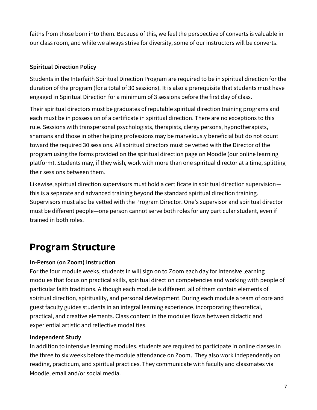faiths from those born into them. Because of this, we feel the perspective of converts is valuable in our class room, and while we always strive for diversity, some of our instructors will be converts.

### **Spiritual Direction Policy**

Students in the Interfaith Spiritual Direction Program are required to be in spiritual direction for the duration of the program (for a total of 30 sessions). It is also a prerequisite that students must have engaged in Spiritual Direction for a minimum of 3 sessions before the first day of class.

Their spiritual directors must be graduates of reputable spiritual direction training programs and each must be in possession of a certificate in spiritual direction. There are no exceptions to this rule. Sessions with transpersonal psychologists, therapists, clergy persons, hypnotherapists, shamans and those in other helping professions may be marvelously beneficial but do not count toward the required 30 sessions. All spiritual directors must be vetted with the Director of the program using the forms provided on the spiritual direction page on Moodle (our online learning platform). Students may, if they wish, work with more than one spiritual director at a time, splitting their sessions between them.

Likewise, spiritual direction supervisors must hold a certificate in spiritual direction supervision this is a separate and advanced training beyond the standard spiritual direction training. Supervisors must also be vetted with the Program Director. One's supervisor and spiritual director must be different people—one person cannot serve both roles for any particular student, even if trained in both roles.

## **Program Structure**

### **In-Person (on Zoom) Instruction**

For the four module weeks, students in will sign on to Zoom each day for intensive learning modules that focus on practical skills, spiritual direction competencies and working with people of particular faith traditions. Although each module is different, all of them contain elements of spiritual direction, spirituality, and personal development. During each module a team of core and guest faculty guides students in an integral learning experience, incorporating theoretical, practical, and creative elements. Class content in the modules flows between didactic and experiential artistic and reflective modalities.

### **Independent Study**

In addition to intensive learning modules, students are required to participate in online classes in the three to six weeks before the module attendance on Zoom. They also work independently on reading, practicum, and spiritual practices. They communicate with faculty and classmates via Moodle, email and/or social media.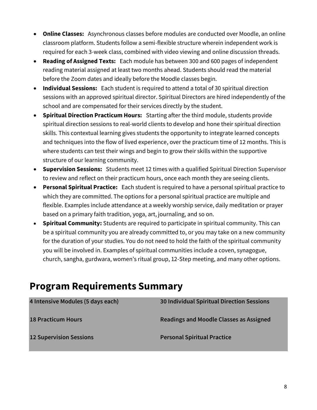- **Online Classes:** Asynchronous classes before modules are conducted over Moodle, an online classroom platform. Students follow a semi-flexible structure wherein independent work is required for each 3-week class, combined with video viewing and online discussion threads.
- **Reading of Assigned Texts:** Each module has between 300 and 600 pages of independent reading material assigned at least two months ahead. Students should read the material before the Zoom dates and ideally before the Moodle classes begin.
- **Individual Sessions:** Each student is required to attend a total of 30 spiritual direction sessions with an approved spiritual director. Spiritual Directors are hired independently of the school and are compensated for their services directly by the student.
- **Spiritual Direction Practicum Hours:** Starting after the third module, students provide spiritual direction sessions to real-world clients to develop and hone their spiritual direction skills. This contextual learning gives students the opportunity to integrate learned concepts and techniques into the flow of lived experience, over the practicum time of 12 months. This is where students can test their wings and begin to grow their skills within the supportive structure of our learning community.
- **Supervision Sessions:** Students meet 12 times with a qualified Spiritual Direction Supervisor to review and reflect on their practicum hours, once each month they are seeing clients.
- **Personal Spiritual Practice:** Each student is required to have a personal spiritual practice to which they are committed. The options for a personal spiritual practice are multiple and flexible. Examples include attendance at a weekly worship service, daily meditation or prayer based on a primary faith tradition, yoga, art, journaling, and so on.
- **Spiritual Community:** Students are required to participate in spiritual community. This can be a spiritual community you are already committed to, or you may take on a new community for the duration of your studies. You do not need to hold the faith of the spiritual community you will be involved in. Examples of spiritual communities include a coven, synagogue, church, sangha, gurdwara, women's ritual group, 12-Step meeting, and many other options.

### **Program Requirements Summary**

| 4 Intensive Modules (5 days each) | <b>30 Individual Spiritual Direction Sessions</b> |
|-----------------------------------|---------------------------------------------------|
| <b>18 Practicum Hours</b>         | Readings and Moodle Classes as Assigned           |
| <b>12 Supervision Sessions</b>    | <b>Personal Spiritual Practice</b>                |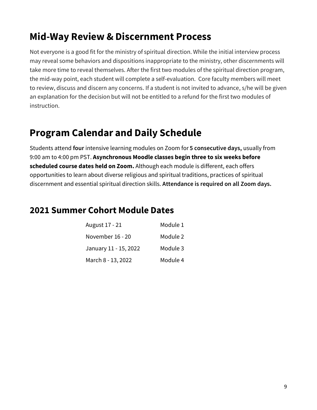# **Mid-Way Review & Discernment Process**

Not everyone is a good fit for the ministry of spiritual direction. While the initial interview process may reveal some behaviors and dispositions inappropriate to the ministry, other discernments will take more time to reveal themselves. After the first two modules of the spiritual direction program, the mid-way point, each student will complete a self-evaluation. Core faculty members will meet to review, discuss and discern any concerns. If a student is not invited to advance, s/he will be given an explanation for the decision but will not be entitled to a refund for the first two modules of instruction.

## **Program Calendar and Daily Schedule**

Students attend **four** intensive learning modules on Zoom for **5 consecutive days,** usually from 9:00 am to 4:00 pm PST. **Asynchronous Moodle classes begin three to six weeks before scheduled course dates held on Zoom.** Although each module is different, each offers opportunities to learn about diverse religious and spiritual traditions, practices of spiritual discernment and essential spiritual direction skills. **Attendance is required on all Zoom days.** 

### **2021 Summer Cohort Module Dates**

| August 17 - 21        | Module 1 |
|-----------------------|----------|
| November 16 - 20      | Module 2 |
| January 11 - 15, 2022 | Module 3 |
| March 8 - 13, 2022    | Module 4 |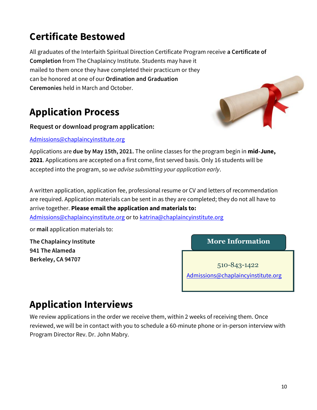# **Certificate Bestowed**

All graduates of the Interfaith Spiritual Direction Certificate Program receive **a Certificate of Completion** from The Chaplaincy Institute. Students may have it mailed to them once they have completed their practicum or they can be honored at one of our **Ordination and Graduation Ceremonies** held in March and October.

# **Application Process**

**Request or download program application:**

[Admissions@chaplaincyinstitute.org](mailto:Admissions@chaplaincyinstitute.org)



Applications are **due by May 15th, 2021.** The online classes for the program begin in **mid-June, 2021**. Applications are accepted on a first come, first served basis. Only 16 students will be accepted into the program, so *we advise submitting your application early*.

A written application, application fee, professional resume or CV and letters of recommendation are required. Application materials can be sent in as they are completed; they do not all have to arrive together. **Please email the application and materials to:**

[Admissions@chaplaincyinstitute.org](mailto:Admissions@chaplaincyinstitute.org) or t[o katrina@chaplaincyinstitute.org](mailto:katrina@chaplaincyinstitute.org)

or **mail** application materials to:

**The Chaplaincy Institute 941 The Alameda Berkeley, CA 94707**

**More Information**

510-843-1422 [Admissions@chaplaincyinstitute.org](mailto:Admissions@chaplaincyinstitute.org)

# **Application Interviews**

We review applications in the order we receive them, within 2 weeks of receiving them. Once reviewed, we will be in contact with you to schedule a 60-minute phone or in-person interview with Program Director Rev. Dr. John Mabry.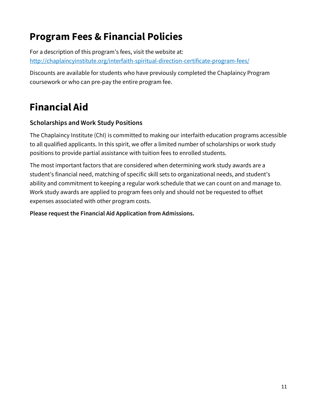# **Program Fees & Financial Policies**

For a description of this program's fees, visit the website at: <http://chaplaincyinstitute.org/interfaith-spiritual-direction-certificate-program-fees/>

Discounts are available for students who have previously completed the Chaplaincy Program coursework or who can pre-pay the entire program fee.

# **Financial Aid**

### **Scholarships and Work Study Positions**

The Chaplaincy Institute (ChI) is committed to making our interfaith education programs accessible to all qualified applicants. In this spirit, we offer a limited number of scholarships or work study positions to provide partial assistance with tuition fees to enrolled students.

The most important factors that are considered when determining work study awards are a student's financial need, matching of specific skill sets to organizational needs, and student's ability and commitment to keeping a regular work schedule that we can count on and manage to. Work study awards are applied to program fees only and should not be requested to offset expenses associated with other program costs.

**Please request the Financial Aid Application from Admissions.**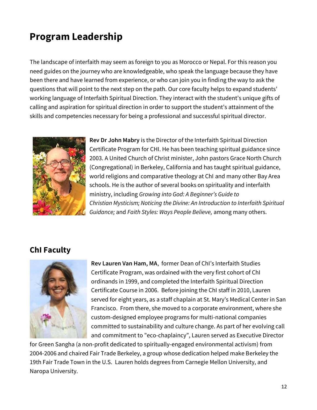# **Program Leadership**

The landscape of interfaith may seem as foreign to you as Morocco or Nepal. For this reason you need guides on the journey who are knowledgeable, who speak the language because they have been there and have learned from experience, or who can join you in finding the way to ask the questions that will point to the next step on the path. Our core faculty helps to expand students' working language of Interfaith Spiritual Direction. They interact with the student's unique gifts of calling and aspiration for spiritual direction in order to support the student's attainment of the skills and competencies necessary for being a professional and successful spiritual director.



**Rev Dr John Mabry** is the Director of the Interfaith Spiritual Direction Certificate Program for CHI. He has been teaching spiritual guidance since 2003. A United Church of Christ minister, John pastors Grace North Church (Congregational) in Berkeley, California and has taught spiritual guidance, world religions and comparative theology at ChI and many other Bay Area schools. He is the author of several books on spirituality and interfaith ministry, including *Growing into God: A Beginner's Guide to Christian Mysticism; Noticing the Divine: An Introduction to Interfaith Spiritual Guidance;* and *Faith Styles: Ways People Believe,* among many others.

### **ChI Faculty**



**Rev Lauren Van Ham, MA**, former Dean of ChI's Interfaith Studies Certificate Program, was ordained with the very first cohort of ChI ordinands in 1999, and completed the Interfaith Spiritual Direction Certificate Course in 2006. Before joining the ChI staff in 2010, Lauren served for eight years, as a staff chaplain at St. Mary's Medical Center in San Francisco. From there, she moved to a corporate environment, where she custom-designed employee programs for multi-national companies committed to sustainability and culture change. As part of her evolving call and commitment to "eco-chaplaincy", Lauren served as Executive Director

for Green Sangha (a non-profit dedicated to spiritually-engaged environmental activism) from 2004-2006 and chaired Fair Trade Berkeley, a group whose dedication helped make Berkeley the 19th Fair Trade Town in the U.S. Lauren holds degrees from Carnegie Mellon University, and Naropa University.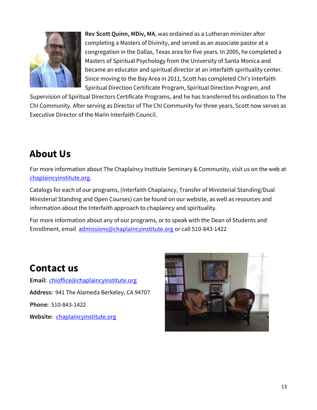

**Rev Scott Quinn, MDiv, MA**, was ordained as a Lutheran minister after completing a Masters of Divinity, and served as an associate pastor at a congregation in the Dallas, Texas area for five years. In 2005, he completed a Masters of Spiritual Psychology from the University of Santa Monica and became an educator and spiritual director at an interfaith spirituality center. Since moving to the Bay Area in 2011, Scott has completed ChI's Interfaith Spiritual Direction Certificate Program, Spiritual Direction Program, and

Supervision of Spiritual Directors Certificate Programs, and he has transferred his ordination to The ChI Community. After serving as Director of The ChI Community for three years, Scott now serves as Executive Director of the Marin Interfaith Council.

# **About Us**

For more information about The Chaplaincy Institute Seminary & Community, visit us on the web at [chaplaincyinstitute.org.](http://www.chaplaincyinstitute.org/)

Catalogs for each of our programs, (Interfaith Chaplaincy, Transfer of Ministerial Standing/Dual Ministerial Standing and Open Courses) can be found on our website, as well as resources and information about the Interfaith approach to chaplaincy and spirituality.

For more information about any of our programs, or to speak with the Dean of Students and Enrollment, email [admissions@chaplaincyinstitute.org](mailto:admissions@chaplaincyinstitute.org) or call 510-843-1422

### **Contact us**

**Email:** [chioffice@chaplaincyinstitute.org](mailto:chioffice@chaplaincyinstitute.org) **Address:** 941 The Alameda Berkeley, CA 94707 **Phone:** 510-843-1422 **Website:** [chaplaincyinstitute.org](http://www.chaplaincyinstitute.org/)